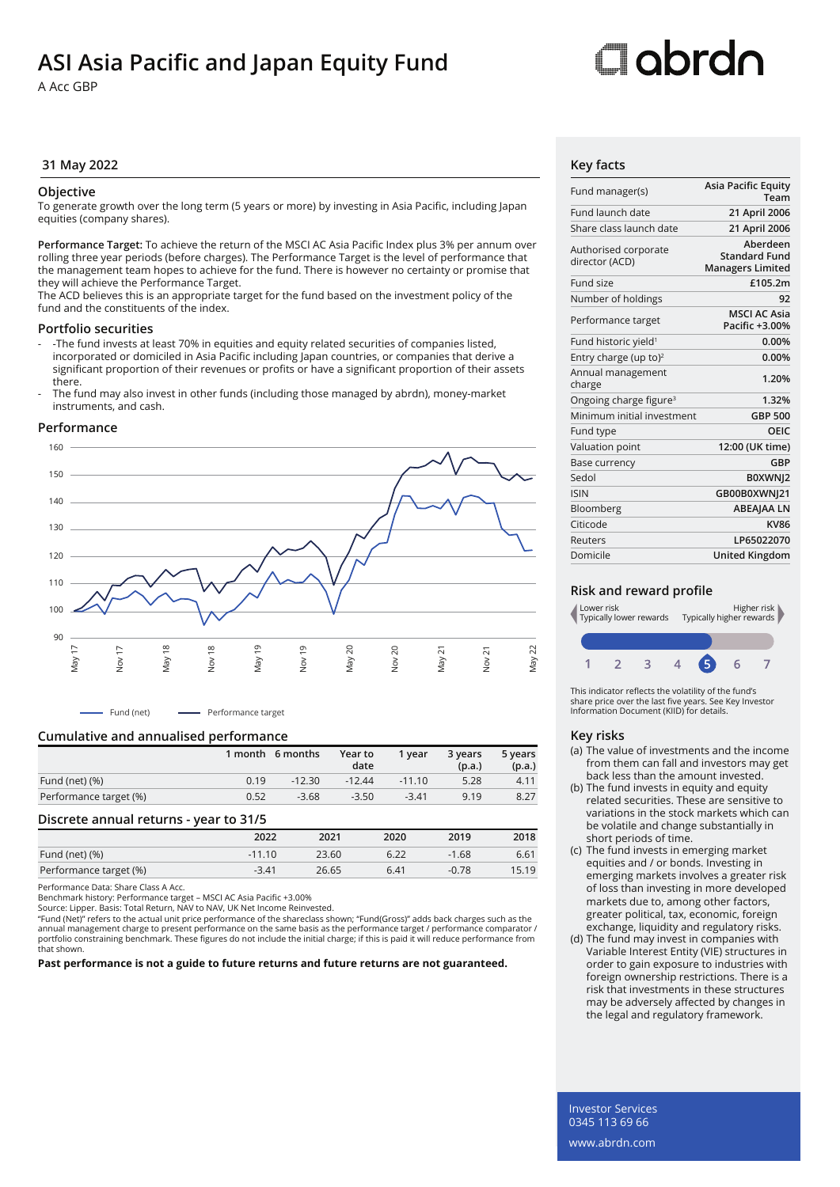## **ASI Asia Pacific and Japan Equity Fund**

A Acc GBP

# Oobrdo

#### **31 May 2022 Key facts**

#### **Objective**

To generate growth over the long term (5 years or more) by investing in Asia Pacific, including Japan equities (company shares).

**Performance Target:** To achieve the return of the MSCI AC Asia Pacific Index plus 3% per annum over rolling three year periods (before charges). The Performance Target is the level of performance that the management team hopes to achieve for the fund. There is however no certainty or promise that they will achieve the Performance Target.

The ACD believes this is an appropriate target for the fund based on the investment policy of the fund and the constituents of the index.

#### **Portfolio securities**

- -The fund invests at least 70% in equities and equity related securities of companies listed, incorporated or domiciled in Asia Pacific including Japan countries, or companies that derive a significant proportion of their revenues or profits or have a significant proportion of their assets there.
- The fund may also invest in other funds (including those managed by abrdn), money-market instruments, and cash.

#### **Performance**



- Fund (net) - Performance target

#### **Cumulative and annualised performance**

|                        |      | 1 month 6 months | Year to<br>date | 1 vear   | 3 years<br>(p.a.) | 5 years<br>(p.a.) |
|------------------------|------|------------------|-----------------|----------|-------------------|-------------------|
| Fund (net) (%)         | 0.19 | $-12.30$         | $-12.44$        | $-11.10$ | 5.28              | 4.11              |
| Performance target (%) | 0.52 | $-3.68$          | $-3.50$         | $-3.41$  | 9.19              | 8.27              |
|                        |      |                  |                 |          |                   |                   |

#### **Discrete annual returns - year to 31/5**

|                        | 2022     | 2021  | 2020 | 2019    | 2018  |
|------------------------|----------|-------|------|---------|-------|
| Fund (net) (%)         | $-11.10$ | 23.60 | 6.22 | $-1.68$ | 6.61  |
| Performance target (%) | $-3.41$  | 26.65 | 6.41 | $-0.78$ | 15.19 |
|                        |          |       |      |         |       |

Performance Data: Share Class A Acc.

Benchmark history: Performance target – MSCI AC Asia Pacific +3.00%

Source: Lipper. Basis: Total Return, NAV to NAV, UK Net Income Reinvested.

"Fund (Net)" refers to the actual unit price performance of the shareclass shown; "Fund(Gross)" adds back charges such as the annual management charge to present performance on the same basis as the performance target / performance comparator /<br>portfolio constraining benchmark. These figures do not include the initial charge; if this is paid it w that shown.

**Past performance is not a guide to future returns and future returns are not guaranteed.**

| Fund manager(s)                        | <b>Asia Pacific Equity</b><br>Team                          |
|----------------------------------------|-------------------------------------------------------------|
| Fund launch date                       | 21 April 2006                                               |
| Share class launch date                | 21 April 2006                                               |
| Authorised corporate<br>director (ACD) | Aberdeen<br><b>Standard Fund</b><br><b>Managers Limited</b> |
| Fund size                              | £105.2m                                                     |
| Number of holdings                     | 92                                                          |
| Performance target                     | <b>MSCI AC Asia</b><br>Pacific +3.00%                       |
| Fund historic yield <sup>1</sup>       | 0.00%                                                       |
| Entry charge (up to) <sup>2</sup>      | 0.00%                                                       |
| Annual management<br>charge            | 1.20%                                                       |
| Ongoing charge figure <sup>3</sup>     | 1.32%                                                       |
| Minimum initial investment             | <b>GBP 500</b>                                              |
| Fund type                              | OEIC                                                        |
| Valuation point                        | 12:00 (UK time)                                             |
| Base currency                          | <b>GBP</b>                                                  |
| Sedol                                  | B0XWNJ2                                                     |
| <b>ISIN</b>                            | GB00B0XWNJ21                                                |
| Bloomberg                              | <b>ABEAJAA LN</b>                                           |
| Citicode                               | <b>KV86</b>                                                 |
| Reuters                                | LP65022070                                                  |
| Domicile                               | <b>United Kingdom</b>                                       |

#### **Risk and reward profile**



This indicator reflects the volatility of the fund's share price over the last five years. See Key Investor Information Document (KIID) for details.

#### **Key risks**

- (a) The value of investments and the income from them can fall and investors may get back less than the amount invested.
- (b) The fund invests in equity and equity related securities. These are sensitive to variations in the stock markets which can be volatile and change substantially in short periods of time.
- (c) The fund invests in emerging market equities and / or bonds. Investing in emerging markets involves a greater risk of loss than investing in more developed markets due to, among other factors, greater political, tax, economic, foreign exchange, liquidity and regulatory risks.
- (d) The fund may invest in companies with Variable Interest Entity (VIE) structures in order to gain exposure to industries with foreign ownership restrictions. There is a risk that investments in these structures may be adversely affected by changes in the legal and regulatory framework.

Investor Services 0345 113 69 66 www.abrdn.com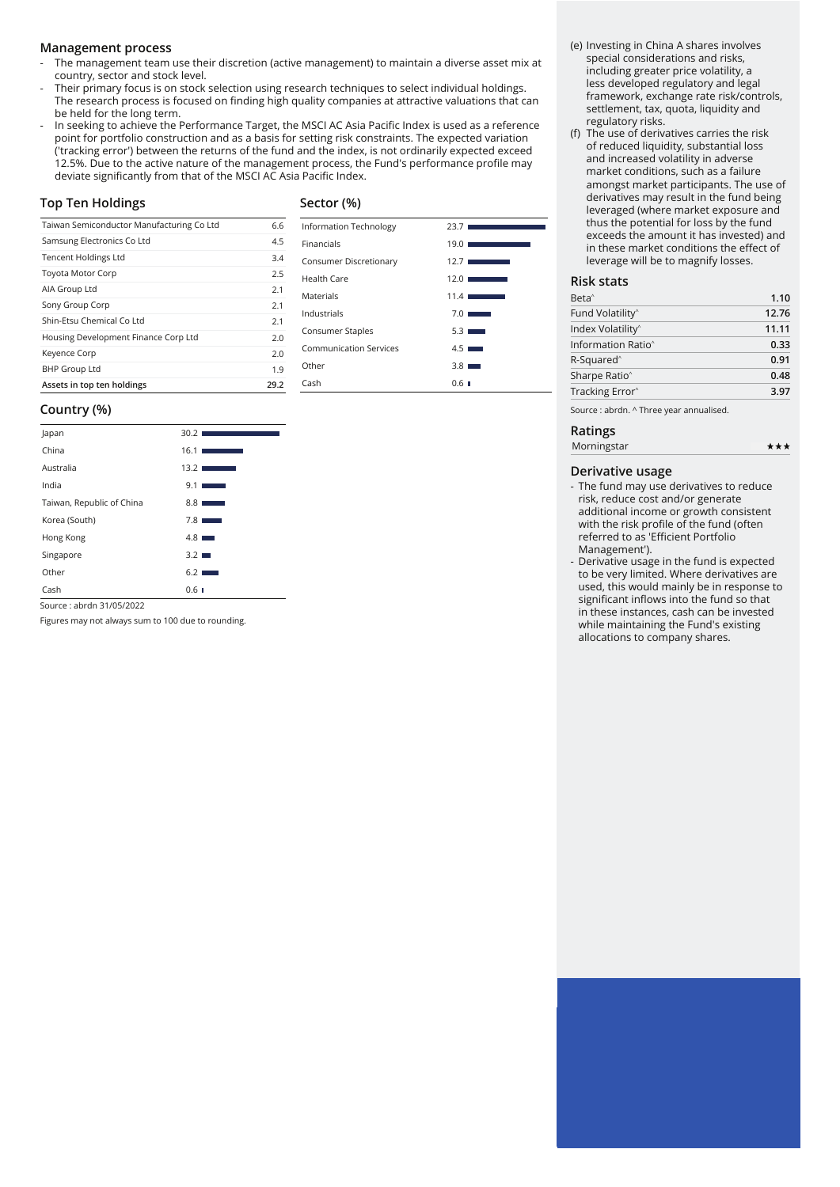#### **Management process**

- The management team use their discretion (active management) to maintain a diverse asset mix at country, sector and stock level.
- Their primary focus is on stock selection using research techniques to select individual holdings. The research process is focused on finding high quality companies at attractive valuations that can be held for the long term.
- In seeking to achieve the Performance Target, the MSCI AC Asia Pacific Index is used as a reference point for portfolio construction and as a basis for setting risk constraints. The expected variation ('tracking error') between the returns of the fund and the index, is not ordinarily expected exceed 12.5%. Due to the active nature of the management process, the Fund's performance profile may deviate significantly from that of the MSCI AC Asia Pacific Index.

#### **Top Ten Holdings**

#### **Sector (%)**

| Taiwan Semiconductor Manufacturing Co Ltd | 6.6  |
|-------------------------------------------|------|
| Samsung Electronics Co Ltd                | 4.5  |
| <b>Tencent Holdings Ltd</b>               | 3.4  |
| <b>Toyota Motor Corp</b>                  | 2.5  |
| AIA Group Ltd                             | 2.1  |
| Sony Group Corp                           | 2.1  |
| Shin-Etsu Chemical Co Ltd                 | 2.1  |
| Housing Development Finance Corp Ltd      | 2.0  |
| Keyence Corp                              | 2.0  |
| <b>BHP Group Ltd</b>                      | 1.9  |
| Assets in top ten holdings                | 29.2 |

#### **Country (%)**

| Japan                     | 30.2                                                                                                                                    |
|---------------------------|-----------------------------------------------------------------------------------------------------------------------------------------|
| China                     | 16.1<br>$\mathcal{L}^{\text{max}}_{\text{max}}$ and $\mathcal{L}^{\text{max}}_{\text{max}}$ and $\mathcal{L}^{\text{max}}_{\text{max}}$ |
| Australia                 | 13.2                                                                                                                                    |
| India                     | 9.1<br><b>Service Service</b>                                                                                                           |
| Taiwan, Republic of China | 8.8 <sub>1</sub><br>and the state of the state of the state of the state of the state of the state of the state of the state of th      |
| Korea (South)             | 7.8<br><b>STATISTICS</b>                                                                                                                |
| Hong Kong                 | $4.8$ $\blacksquare$                                                                                                                    |
| Singapore                 | $3.2 \blacksquare$                                                                                                                      |
| Other                     | 6.21                                                                                                                                    |
| Cash                      | 0.6 <sub>1</sub>                                                                                                                        |

Source : abrdn 31/05/2022

Figures may not always sum to 100 due to rounding.

### Information Technology 23.7 Financials 19.0 Consumer Discretionary 12.7 ■ Health Care 12.0 Materials 11.4 Industrials 7.0 Consumer Staples 5.3 Communication Services 4.5 ■ Other 3.8 Cash 0.6

#### (e) Investing in China A shares involves special considerations and risks, including greater price volatility, a less developed regulatory and legal framework, exchange rate risk/controls, settlement, tax, quota, liquidity and regulatory risks.

(f) The use of derivatives carries the risk of reduced liquidity, substantial loss and increased volatility in adverse market conditions, such as a failure amongst market participants. The use of derivatives may result in the fund being leveraged (where market exposure and thus the potential for loss by the fund exceeds the amount it has invested) and in these market conditions the effect of leverage will be to magnify losses.

#### **Risk stats**

| Beta <sup>^</sup>              | 1.10  |
|--------------------------------|-------|
| Fund Volatility <sup>^</sup>   | 12.76 |
| Index Volatility <sup>^</sup>  | 11.11 |
| Information Ratio <sup>^</sup> | 0.33  |
| R-Squared <sup>^</sup>         | 0.91  |
| Sharpe Ratio <sup>^</sup>      | 0.48  |
| Tracking Error <sup>^</sup>    | 3.97  |
|                                |       |

 $***$ 

Source : abrdn. ^ Three year annualised.

#### **Ratings** Morningstar

- The fund may use derivatives to reduce risk, reduce cost and/or generate additional income or growth consistent with the risk profile of the fund (often referred to as 'Efficient Portfolio Management').
- Derivative usage in the fund is expected to be very limited. Where derivatives are used, this would mainly be in response to significant inflows into the fund so that in these instances, cash can be invested while maintaining the Fund's existing allocations to company shares.